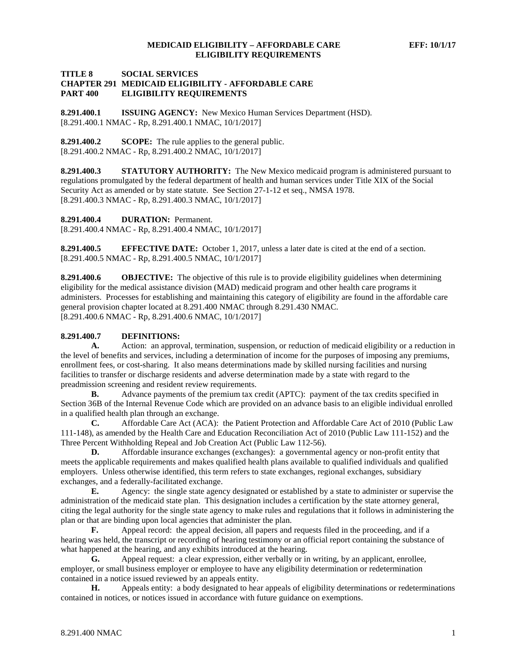## **TITLE 8 SOCIAL SERVICES CHAPTER 291 MEDICAID ELIGIBILITY - AFFORDABLE CARE ELIGIBILITY REQUIREMENTS**

**8.291.400.1 ISSUING AGENCY:** New Mexico Human Services Department (HSD). [8.291.400.1 NMAC - Rp, 8.291.400.1 NMAC, 10/1/2017]

**8.291.400.2 SCOPE:** The rule applies to the general public. [8.291.400.2 NMAC - Rp, 8.291.400.2 NMAC, 10/1/2017]

**8.291.400.3 STATUTORY AUTHORITY:** The New Mexico medicaid program is administered pursuant to regulations promulgated by the federal department of health and human services under Title XIX of the Social Security Act as amended or by state statute. See Section 27-1-12 et seq., NMSA 1978. [8.291.400.3 NMAC - Rp, 8.291.400.3 NMAC, 10/1/2017]

**8.291.400.4 DURATION:** Permanent.

[8.291.400.4 NMAC - Rp, 8.291.400.4 NMAC, 10/1/2017]

**8.291.400.5 EFFECTIVE DATE:** October 1, 2017, unless a later date is cited at the end of a section. [8.291.400.5 NMAC - Rp, 8.291.400.5 NMAC, 10/1/2017]

**8.291.400.6 OBJECTIVE:** The objective of this rule is to provide eligibility guidelines when determining eligibility for the medical assistance division (MAD) medicaid program and other health care programs it administers. Processes for establishing and maintaining this category of eligibility are found in the affordable care general provision chapter located at 8.291.400 NMAC through 8.291.430 NMAC. [8.291.400.6 NMAC - Rp, 8.291.400.6 NMAC, 10/1/2017]

## **8.291.400.7 DEFINITIONS:**

**A.** Action: an approval, termination, suspension, or reduction of medicaid eligibility or a reduction in the level of benefits and services, including a determination of income for the purposes of imposing any premiums, enrollment fees, or cost-sharing. It also means determinations made by skilled nursing facilities and nursing facilities to transfer or discharge residents and adverse determination made by a state with regard to the preadmission screening and resident review requirements.

**B.** Advance payments of the premium tax credit (APTC): payment of the tax credits specified in Section 36B of the Internal Revenue Code which are provided on an advance basis to an eligible individual enrolled in a qualified health plan through an exchange.

**C.** Affordable Care Act (ACA): the Patient Protection and Affordable Care Act of 2010 (Public Law 111-148), as amended by the Health Care and Education Reconciliation Act of 2010 (Public Law 111-152) and the Three Percent Withholding Repeal and Job Creation Act (Public Law 112-56).

**D.** Affordable insurance exchanges (exchanges): a governmental agency or non-profit entity that meets the applicable requirements and makes qualified health plans available to qualified individuals and qualified employers. Unless otherwise identified, this term refers to state exchanges, regional exchanges, subsidiary exchanges, and a federally-facilitated exchange.

**E.** Agency: the single state agency designated or established by a state to administer or supervise the administration of the medicaid state plan. This designation includes a certification by the state attorney general, citing the legal authority for the single state agency to make rules and regulations that it follows in administering the plan or that are binding upon local agencies that administer the plan.

**F.** Appeal record: the appeal decision, all papers and requests filed in the proceeding, and if a hearing was held, the transcript or recording of hearing testimony or an official report containing the substance of what happened at the hearing, and any exhibits introduced at the hearing.

**G.** Appeal request: a clear expression, either verbally or in writing, by an applicant, enrollee, employer, or small business employer or employee to have any eligibility determination or redetermination contained in a notice issued reviewed by an appeals entity.

**H.** Appeals entity: a body designated to hear appeals of eligibility determinations or redeterminations contained in notices, or notices issued in accordance with future guidance on exemptions.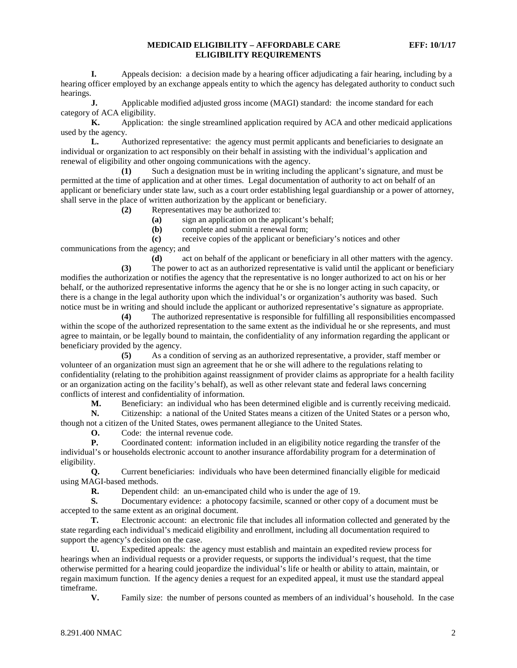**I.** Appeals decision: a decision made by a hearing officer adjudicating a fair hearing, including by a hearing officer employed by an exchange appeals entity to which the agency has delegated authority to conduct such hearings.

**J.** Applicable modified adjusted gross income (MAGI) standard: the income standard for each category of ACA eligibility.

**K.** Application: the single streamlined application required by ACA and other medicaid applications used by the agency.

**L.** Authorized representative: the agency must permit applicants and beneficiaries to designate an individual or organization to act responsibly on their behalf in assisting with the individual's application and renewal of eligibility and other ongoing communications with the agency.

**(1)** Such a designation must be in writing including the applicant's signature, and must be permitted at the time of application and at other times. Legal documentation of authority to act on behalf of an applicant or beneficiary under state law, such as a court order establishing legal guardianship or a power of attorney, shall serve in the place of written authorization by the applicant or beneficiary.

**(2)** Representatives may be authorized to:

**(a)** sign an application on the applicant's behalf;

**(b)** complete and submit a renewal form;

**(c)** receive copies of the applicant or beneficiary's notices and other communications from the agency; and

**(d)** act on behalf of the applicant or beneficiary in all other matters with the agency.

**(3)** The power to act as an authorized representative is valid until the applicant or beneficiary modifies the authorization or notifies the agency that the representative is no longer authorized to act on his or her behalf, or the authorized representative informs the agency that he or she is no longer acting in such capacity, or there is a change in the legal authority upon which the individual's or organization's authority was based. Such notice must be in writing and should include the applicant or authorized representative's signature as appropriate.

**(4)** The authorized representative is responsible for fulfilling all responsibilities encompassed within the scope of the authorized representation to the same extent as the individual he or she represents, and must agree to maintain, or be legally bound to maintain, the confidentiality of any information regarding the applicant or beneficiary provided by the agency.

**(5)** As a condition of serving as an authorized representative, a provider, staff member or volunteer of an organization must sign an agreement that he or she will adhere to the regulations relating to confidentiality (relating to the prohibition against reassignment of provider claims as appropriate for a health facility or an organization acting on the facility's behalf), as well as other relevant state and federal laws concerning conflicts of interest and confidentiality of information.

**M.** Beneficiary: an individual who has been determined eligible and is currently receiving medicaid.<br> **N.** Citizenship: a national of the United States means a citizen of the United States or a person who, **N.** Citizenship: a national of the United States means a citizen of the United States or a person who, though not a citizen of the United States, owes permanent allegiance to the United States.

**O.** Code: the internal revenue code.

**P.** Coordinated content: information included in an eligibility notice regarding the transfer of the individual's or households electronic account to another insurance affordability program for a determination of eligibility.

**Q.** Current beneficiaries: individuals who have been determined financially eligible for medicaid using MAGI-based methods.

**R.** Dependent child: an un-emancipated child who is under the age of 19.

**S.** Documentary evidence: a photocopy facsimile, scanned or other copy of a document must be accepted to the same extent as an original document.

**T.** Electronic account: an electronic file that includes all information collected and generated by the state regarding each individual's medicaid eligibility and enrollment, including all documentation required to support the agency's decision on the case.

**U.** Expedited appeals: the agency must establish and maintain an expedited review process for hearings when an individual requests or a provider requests, or supports the individual's request, that the time otherwise permitted for a hearing could jeopardize the individual's life or health or ability to attain, maintain, or regain maximum function. If the agency denies a request for an expedited appeal, it must use the standard appeal timeframe.

**V.** Family size: the number of persons counted as members of an individual's household. In the case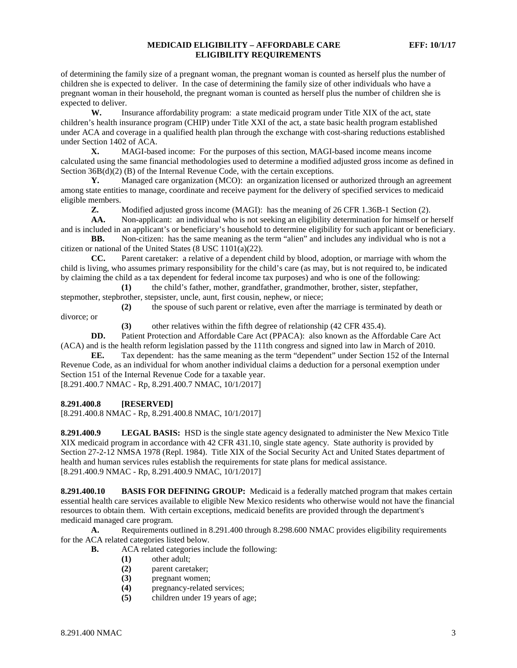of determining the family size of a pregnant woman, the pregnant woman is counted as herself plus the number of children she is expected to deliver. In the case of determining the family size of other individuals who have a pregnant woman in their household, the pregnant woman is counted as herself plus the number of children she is expected to deliver.

**W.** Insurance affordability program: a state medicaid program under Title XIX of the act, state children's health insurance program (CHIP) under Title XXI of the act, a state basic health program established under ACA and coverage in a qualified health plan through the exchange with cost-sharing reductions established under Section 1402 of ACA.

**X.** MAGI-based income: For the purposes of this section, MAGI-based income means income calculated using the same financial methodologies used to determine a modified adjusted gross income as defined in Section  $36B(d)(2)$  (B) of the Internal Revenue Code, with the certain exceptions.

**Y.** Managed care organization (MCO): an organization licensed or authorized through an agreement among state entities to manage, coordinate and receive payment for the delivery of specified services to medicaid eligible members.

**Z.** Modified adjusted gross income (MAGI): has the meaning of 26 CFR 1.36B-1 Section (2).<br>**AA.** Non-applicant: an individual who is not seeking an eligibility determination for himself or l

**AA.** Non-applicant: an individual who is not seeking an eligibility determination for himself or herself and is included in an applicant's or beneficiary's household to determine eligibility for such applicant or beneficiary.

**BB.** Non-citizen: has the same meaning as the term "alien" and includes any individual who is not a citizen or national of the United States (8 USC 1101(a)(22).

**CC.** Parent caretaker: a relative of a dependent child by blood, adoption, or marriage with whom the child is living, who assumes primary responsibility for the child's care (as may, but is not required to, be indicated by claiming the child as a tax dependent for federal income tax purposes) and who is one of the following:

**(1)** the child's father, mother, grandfather, grandmother, brother, sister, stepfather, stepmother, stepbrother, stepsister, uncle, aunt, first cousin, nephew, or niece;

**(2)** the spouse of such parent or relative, even after the marriage is terminated by death or divorce; or

**(3)** other relatives within the fifth degree of relationship (42 CFR 435.4).

**DD.** Patient Protection and Affordable Care Act (PPACA): also known as the Affordable Care Act (ACA) and is the health reform legislation passed by the 111th congress and signed into law in March of 2010.

**EE.** Tax dependent: has the same meaning as the term "dependent" under Section 152 of the Internal Revenue Code, as an individual for whom another individual claims a deduction for a personal exemption under Section 151 of the Internal Revenue Code for a taxable year. [8.291.400.7 NMAC - Rp, 8.291.400.7 NMAC, 10/1/2017]

## **8.291.400.8 [RESERVED]**

[8.291.400.8 NMAC - Rp, 8.291.400.8 NMAC, 10/1/2017]

**8.291.400.9 LEGAL BASIS:** HSD is the single state agency designated to administer the New Mexico Title XIX medicaid program in accordance with 42 CFR 431.10, single state agency. State authority is provided by Section 27-2-12 NMSA 1978 (Repl. 1984). Title XIX of the Social Security Act and United States department of health and human services rules establish the requirements for state plans for medical assistance. [8.291.400.9 NMAC - Rp, 8.291.400.9 NMAC, 10/1/2017]

**8.291.400.10 BASIS FOR DEFINING GROUP:** Medicaid is a federally matched program that makes certain essential health care services available to eligible New Mexico residents who otherwise would not have the financial resources to obtain them. With certain exceptions, medicaid benefits are provided through the department's medicaid managed care program.

**A.** Requirements outlined in 8.291.400 through 8.298.600 NMAC provides eligibility requirements for the ACA related categories listed below.

- **B.** ACA related categories include the following:
	- **(1)** other adult;
	- **(2)** parent caretaker;
	- **(3)** pregnant women;
	- (4) pregnancy-related services;<br>(5) children under 19 years of a
	- **(5)** children under 19 years of age;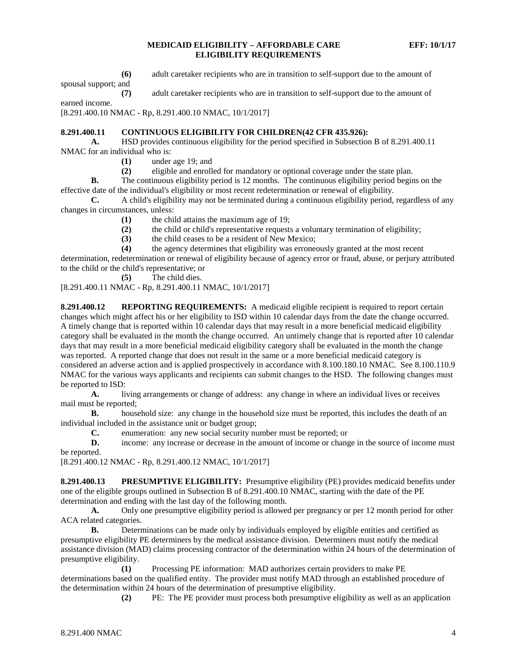**(6)** adult caretaker recipients who are in transition to self-support due to the amount of

spousal support; and

**(7)** adult caretaker recipients who are in transition to self-support due to the amount of

earned income.

[8.291.400.10 NMAC - Rp, 8.291.400.10 NMAC, 10/1/2017]

## **8.291.400.11 CONTINUOUS ELIGIBILITY FOR CHILDREN(42 CFR 435.926):**

**A.** HSD provides continuous eligibility for the period specified in Subsection B of 8.291.400.11 NMAC for an individual who is:

- **(1)** under age 19; and
- **(2)** eligible and enrolled for mandatory or optional coverage under the state plan.

**B.** The continuous eligibility period is 12 months. The continuous eligibility period begins on the effective date of the individual's eligibility or most recent redetermination or renewal of eligibility.

**C.** A child's eligibility may not be terminated during a continuous eligibility period, regardless of any changes in circumstances, unless:

- **(1)** the child attains the maximum age of 19;
	- **(2)** the child or child's representative requests a voluntary termination of eligibility;
	- (3) the child ceases to be a resident of New Mexico;<br>(4) the agency determines that eligibility was erroned
	- **(4)** the agency determines that eligibility was erroneously granted at the most recent

determination, redetermination or renewal of eligibility because of agency error or fraud, abuse, or perjury attributed to the child or the child's representative; or

**(5)** The child dies.

[8.291.400.11 NMAC - Rp, 8.291.400.11 NMAC, 10/1/2017]

**8.291.400.12 REPORTING REQUIREMENTS:** A medicaid eligible recipient is required to report certain changes which might affect his or her eligibility to ISD within 10 calendar days from the date the change occurred. A timely change that is reported within 10 calendar days that may result in a more beneficial medicaid eligibility category shall be evaluated in the month the change occurred. An untimely change that is reported after 10 calendar days that may result in a more beneficial medicaid eligibility category shall be evaluated in the month the change was reported. A reported change that does not result in the same or a more beneficial medicaid category is considered an adverse action and is applied prospectively in accordance with 8.100.180.10 NMAC. See 8.100.110.9 NMAC for the various ways applicants and recipients can submit changes to the HSD. The following changes must be reported to ISD:

**A.** living arrangements or change of address: any change in where an individual lives or receives mail must be reported;

**B.** household size: any change in the household size must be reported, this includes the death of an individual included in the assistance unit or budget group;

**C.** enumeration: any new social security number must be reported; or

**D.** income: any increase or decrease in the amount of income or change in the source of income must be reported.

[8.291.400.12 NMAC - Rp, 8.291.400.12 NMAC, 10/1/2017]

**8.291.400.13 PRESUMPTIVE ELIGIBILITY:** Presumptive eligibility (PE) provides medicaid benefits under one of the eligible groups outlined in Subsection B of 8.291.400.10 NMAC, starting with the date of the PE determination and ending with the last day of the following month.

**A.** Only one presumptive eligibility period is allowed per pregnancy or per 12 month period for other ACA related categories.

**B.** Determinations can be made only by individuals employed by eligible entities and certified as presumptive eligibility PE determiners by the medical assistance division. Determiners must notify the medical assistance division (MAD) claims processing contractor of the determination within 24 hours of the determination of presumptive eligibility.

**(1)** Processing PE information: MAD authorizes certain providers to make PE determinations based on the qualified entity. The provider must notify MAD through an established procedure of the determination within 24 hours of the determination of presumptive eligibility.

**(2)** PE: The PE provider must process both presumptive eligibility as well as an application